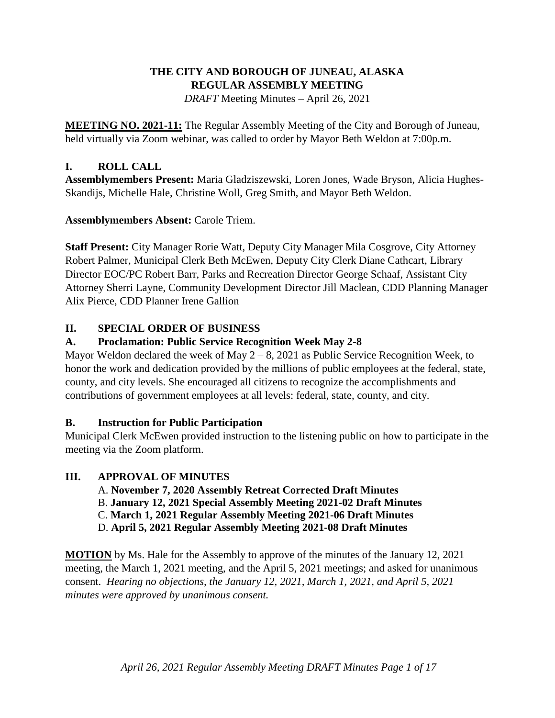### **THE CITY AND BOROUGH OF JUNEAU, ALASKA REGULAR ASSEMBLY MEETING** *DRAFT* Meeting Minutes – April 26, 2021

**MEETING NO. 2021-11:** The Regular Assembly Meeting of the City and Borough of Juneau, held virtually via Zoom webinar, was called to order by Mayor Beth Weldon at 7:00p.m.

## **I. ROLL CALL**

**Assemblymembers Present:** Maria Gladziszewski, Loren Jones, Wade Bryson, Alicia Hughes-Skandijs, Michelle Hale, Christine Woll, Greg Smith, and Mayor Beth Weldon.

**Assemblymembers Absent:** Carole Triem.

**Staff Present:** City Manager Rorie Watt, Deputy City Manager Mila Cosgrove, City Attorney Robert Palmer, Municipal Clerk Beth McEwen, Deputy City Clerk Diane Cathcart, Library Director EOC/PC Robert Barr, Parks and Recreation Director George Schaaf, Assistant City Attorney Sherri Layne, Community Development Director Jill Maclean, CDD Planning Manager Alix Pierce, CDD Planner Irene Gallion

# **II. SPECIAL ORDER OF BUSINESS**

# **A. Proclamation: Public Service Recognition Week May 2-8**

Mayor Weldon declared the week of May  $2 - 8$ , 2021 as Public Service Recognition Week, to honor the work and dedication provided by the millions of public employees at the federal, state, county, and city levels. She encouraged all citizens to recognize the accomplishments and contributions of government employees at all levels: federal, state, county, and city.

## **B. Instruction for Public Participation**

Municipal Clerk McEwen provided instruction to the listening public on how to participate in the meeting via the Zoom platform.

## **III. APPROVAL OF MINUTES**

- A. **November 7, 2020 Assembly Retreat Corrected Draft Minutes**
- B. **January 12, 2021 Special Assembly Meeting 2021-02 Draft Minutes**
- C. **March 1, 2021 Regular Assembly Meeting 2021-06 Draft Minutes**
- D. **April 5, 2021 Regular Assembly Meeting 2021-08 Draft Minutes**

**MOTION** by Ms. Hale for the Assembly to approve of the minutes of the January 12, 2021 meeting, the March 1, 2021 meeting, and the April 5, 2021 meetings; and asked for unanimous consent. *Hearing no objections, the January 12, 2021, March 1, 2021, and April 5, 2021 minutes were approved by unanimous consent.*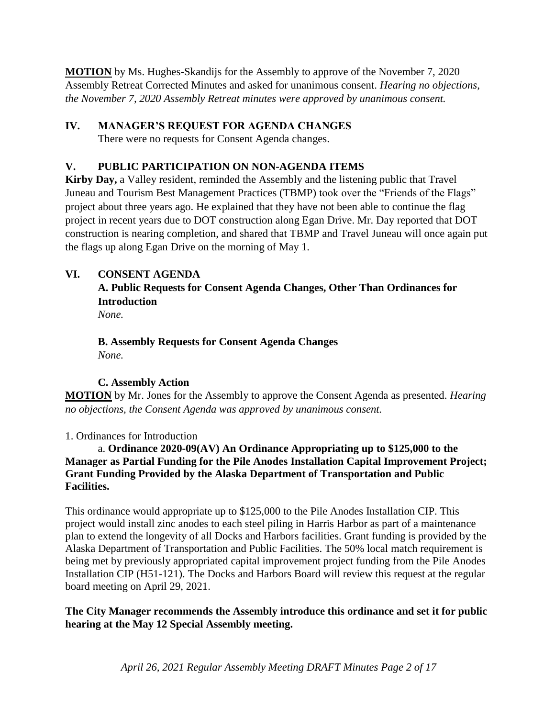**MOTION** by Ms. Hughes-Skandijs for the Assembly to approve of the November 7, 2020 Assembly Retreat Corrected Minutes and asked for unanimous consent. *Hearing no objections, the November 7, 2020 Assembly Retreat minutes were approved by unanimous consent.*

# **IV. MANAGER'S REQUEST FOR AGENDA CHANGES**

There were no requests for Consent Agenda changes.

# **V. PUBLIC PARTICIPATION ON NON-AGENDA ITEMS**

**Kirby Day,** a Valley resident, reminded the Assembly and the listening public that Travel Juneau and Tourism Best Management Practices (TBMP) took over the "Friends of the Flags" project about three years ago. He explained that they have not been able to continue the flag project in recent years due to DOT construction along Egan Drive. Mr. Day reported that DOT construction is nearing completion, and shared that TBMP and Travel Juneau will once again put the flags up along Egan Drive on the morning of May 1.

# **VI. CONSENT AGENDA**

**A. Public Requests for Consent Agenda Changes, Other Than Ordinances for Introduction**

*None.*

## **B. Assembly Requests for Consent Agenda Changes** *None.*

# **C. Assembly Action**

**MOTION** by Mr. Jones for the Assembly to approve the Consent Agenda as presented. *Hearing no objections, the Consent Agenda was approved by unanimous consent.*

1. Ordinances for Introduction

a. **Ordinance 2020-09(AV) An Ordinance Appropriating up to \$125,000 to the Manager as Partial Funding for the Pile Anodes Installation Capital Improvement Project; Grant Funding Provided by the Alaska Department of Transportation and Public Facilities.**

This ordinance would appropriate up to \$125,000 to the Pile Anodes Installation CIP. This project would install zinc anodes to each steel piling in Harris Harbor as part of a maintenance plan to extend the longevity of all Docks and Harbors facilities. Grant funding is provided by the Alaska Department of Transportation and Public Facilities. The 50% local match requirement is being met by previously appropriated capital improvement project funding from the Pile Anodes Installation CIP (H51-121). The Docks and Harbors Board will review this request at the regular board meeting on April 29, 2021.

**The City Manager recommends the Assembly introduce this ordinance and set it for public hearing at the May 12 Special Assembly meeting.**

*April 26, 2021 Regular Assembly Meeting DRAFT Minutes Page 2 of 17*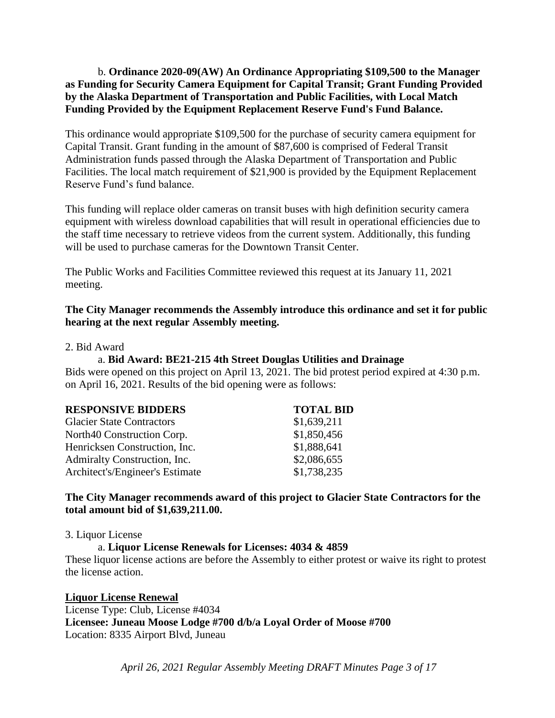#### b. **Ordinance 2020-09(AW) An Ordinance Appropriating \$109,500 to the Manager as Funding for Security Camera Equipment for Capital Transit; Grant Funding Provided by the Alaska Department of Transportation and Public Facilities, with Local Match Funding Provided by the Equipment Replacement Reserve Fund's Fund Balance.**

This ordinance would appropriate \$109,500 for the purchase of security camera equipment for Capital Transit. Grant funding in the amount of \$87,600 is comprised of Federal Transit Administration funds passed through the Alaska Department of Transportation and Public Facilities. The local match requirement of \$21,900 is provided by the Equipment Replacement Reserve Fund's fund balance.

This funding will replace older cameras on transit buses with high definition security camera equipment with wireless download capabilities that will result in operational efficiencies due to the staff time necessary to retrieve videos from the current system. Additionally, this funding will be used to purchase cameras for the Downtown Transit Center.

The Public Works and Facilities Committee reviewed this request at its January 11, 2021 meeting.

#### **The City Manager recommends the Assembly introduce this ordinance and set it for public hearing at the next regular Assembly meeting.**

2. Bid Award

#### a. **Bid Award: BE21-215 4th Street Douglas Utilities and Drainage**

Bids were opened on this project on April 13, 2021. The bid protest period expired at 4:30 p.m. on April 16, 2021. Results of the bid opening were as follows:

| <b>RESPONSIVE BIDDERS</b>        | <b>TOTAL BID</b> |
|----------------------------------|------------------|
| <b>Glacier State Contractors</b> | \$1,639,211      |
| North40 Construction Corp.       | \$1,850,456      |
| Henricksen Construction, Inc.    | \$1,888,641      |
| Admiralty Construction, Inc.     | \$2,086,655      |
| Architect's/Engineer's Estimate  | \$1,738,235      |

#### **The City Manager recommends award of this project to Glacier State Contractors for the total amount bid of \$1,639,211.00.**

3. Liquor License

a. **Liquor License Renewals for Licenses: 4034 & 4859**

These liquor license actions are before the Assembly to either protest or waive its right to protest the license action.

**Liquor License Renewal** License Type: Club, License #4034 **Licensee: Juneau Moose Lodge #700 d/b/a Loyal Order of Moose #700** Location: 8335 Airport Blvd, Juneau

*April 26, 2021 Regular Assembly Meeting DRAFT Minutes Page 3 of 17*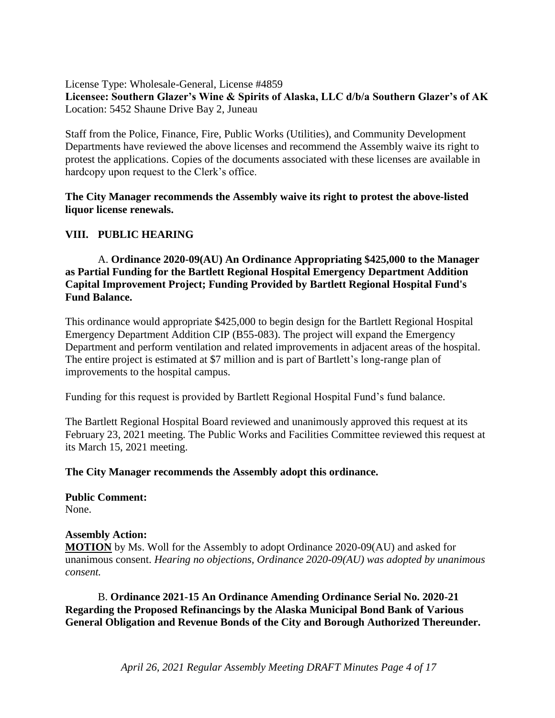License Type: Wholesale-General, License #4859 **Licensee: Southern Glazer's Wine & Spirits of Alaska, LLC d/b/a Southern Glazer's of AK** Location: 5452 Shaune Drive Bay 2, Juneau

Staff from the Police, Finance, Fire, Public Works (Utilities), and Community Development Departments have reviewed the above licenses and recommend the Assembly waive its right to protest the applications. Copies of the documents associated with these licenses are available in hardcopy upon request to the Clerk's office.

**The City Manager recommends the Assembly waive its right to protest the above-listed liquor license renewals.**

#### **VIII. PUBLIC HEARING**

A. **Ordinance 2020-09(AU) An Ordinance Appropriating \$425,000 to the Manager as Partial Funding for the Bartlett Regional Hospital Emergency Department Addition Capital Improvement Project; Funding Provided by Bartlett Regional Hospital Fund's Fund Balance.**

This ordinance would appropriate \$425,000 to begin design for the Bartlett Regional Hospital Emergency Department Addition CIP (B55-083). The project will expand the Emergency Department and perform ventilation and related improvements in adjacent areas of the hospital. The entire project is estimated at \$7 million and is part of Bartlett's long-range plan of improvements to the hospital campus.

Funding for this request is provided by Bartlett Regional Hospital Fund's fund balance.

The Bartlett Regional Hospital Board reviewed and unanimously approved this request at its February 23, 2021 meeting. The Public Works and Facilities Committee reviewed this request at its March 15, 2021 meeting.

#### **The City Manager recommends the Assembly adopt this ordinance.**

**Public Comment:** None.

#### **Assembly Action:**

**MOTION** by Ms. Woll for the Assembly to adopt Ordinance 2020-09(AU) and asked for unanimous consent. *Hearing no objections, Ordinance 2020-09(AU) was adopted by unanimous consent.* 

B. **Ordinance 2021-15 An Ordinance Amending Ordinance Serial No. 2020-21 Regarding the Proposed Refinancings by the Alaska Municipal Bond Bank of Various General Obligation and Revenue Bonds of the City and Borough Authorized Thereunder.**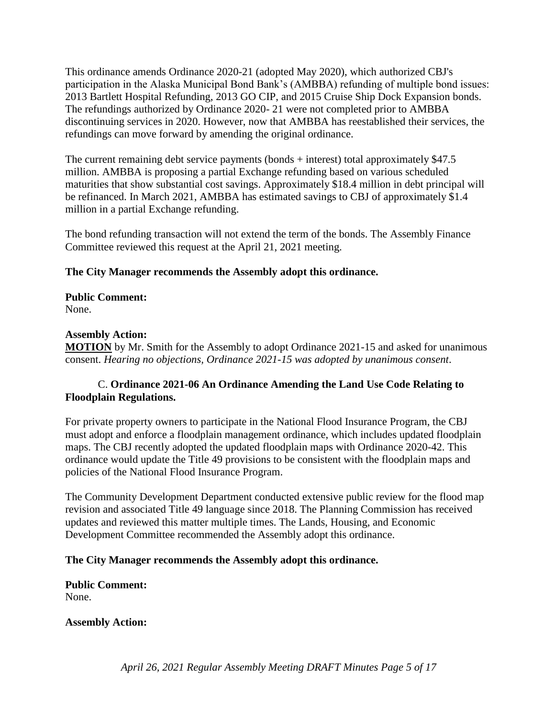This ordinance amends Ordinance 2020-21 (adopted May 2020), which authorized CBJ's participation in the Alaska Municipal Bond Bank's (AMBBA) refunding of multiple bond issues: 2013 Bartlett Hospital Refunding, 2013 GO CIP, and 2015 Cruise Ship Dock Expansion bonds. The refundings authorized by Ordinance 2020- 21 were not completed prior to AMBBA discontinuing services in 2020. However, now that AMBBA has reestablished their services, the refundings can move forward by amending the original ordinance.

The current remaining debt service payments (bonds + interest) total approximately \$47.5 million. AMBBA is proposing a partial Exchange refunding based on various scheduled maturities that show substantial cost savings. Approximately \$18.4 million in debt principal will be refinanced. In March 2021, AMBBA has estimated savings to CBJ of approximately \$1.4 million in a partial Exchange refunding.

The bond refunding transaction will not extend the term of the bonds. The Assembly Finance Committee reviewed this request at the April 21, 2021 meeting.

### **The City Manager recommends the Assembly adopt this ordinance.**

**Public Comment:** None.

#### **Assembly Action:**

**MOTION** by Mr. Smith for the Assembly to adopt Ordinance 2021-15 and asked for unanimous consent. *Hearing no objections, Ordinance 2021-15 was adopted by unanimous consent*.

### C. **Ordinance 2021-06 An Ordinance Amending the Land Use Code Relating to Floodplain Regulations.**

For private property owners to participate in the National Flood Insurance Program, the CBJ must adopt and enforce a floodplain management ordinance, which includes updated floodplain maps. The CBJ recently adopted the updated floodplain maps with Ordinance 2020-42. This ordinance would update the Title 49 provisions to be consistent with the floodplain maps and policies of the National Flood Insurance Program.

The Community Development Department conducted extensive public review for the flood map revision and associated Title 49 language since 2018. The Planning Commission has received updates and reviewed this matter multiple times. The Lands, Housing, and Economic Development Committee recommended the Assembly adopt this ordinance.

#### **The City Manager recommends the Assembly adopt this ordinance.**

**Public Comment:** None.

#### **Assembly Action:**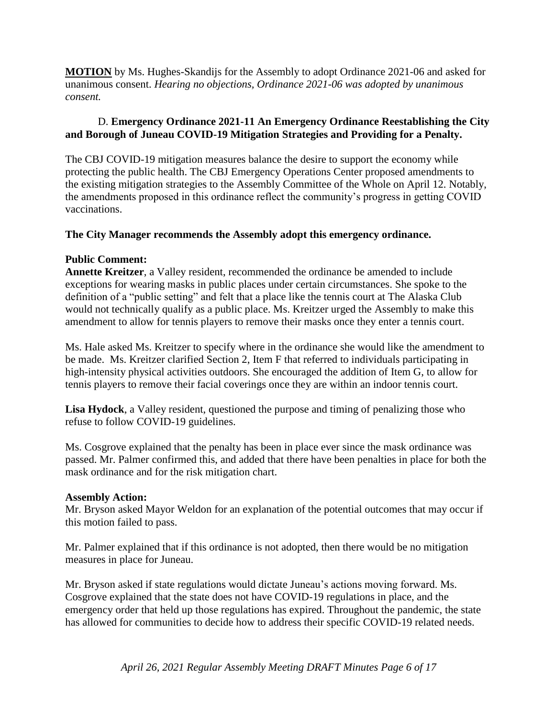**MOTION** by Ms. Hughes-Skandijs for the Assembly to adopt Ordinance 2021-06 and asked for unanimous consent. *Hearing no objections, Ordinance 2021-06 was adopted by unanimous consent.* 

### D. **Emergency Ordinance 2021-11 An Emergency Ordinance Reestablishing the City and Borough of Juneau COVID-19 Mitigation Strategies and Providing for a Penalty.**

The CBJ COVID-19 mitigation measures balance the desire to support the economy while protecting the public health. The CBJ Emergency Operations Center proposed amendments to the existing mitigation strategies to the Assembly Committee of the Whole on April 12. Notably, the amendments proposed in this ordinance reflect the community's progress in getting COVID vaccinations.

#### **The City Manager recommends the Assembly adopt this emergency ordinance.**

### **Public Comment:**

**Annette Kreitzer**, a Valley resident, recommended the ordinance be amended to include exceptions for wearing masks in public places under certain circumstances. She spoke to the definition of a "public setting" and felt that a place like the tennis court at The Alaska Club would not technically qualify as a public place. Ms. Kreitzer urged the Assembly to make this amendment to allow for tennis players to remove their masks once they enter a tennis court.

Ms. Hale asked Ms. Kreitzer to specify where in the ordinance she would like the amendment to be made. Ms. Kreitzer clarified Section 2, Item F that referred to individuals participating in high-intensity physical activities outdoors. She encouraged the addition of Item G, to allow for tennis players to remove their facial coverings once they are within an indoor tennis court.

**Lisa Hydock**, a Valley resident, questioned the purpose and timing of penalizing those who refuse to follow COVID-19 guidelines.

Ms. Cosgrove explained that the penalty has been in place ever since the mask ordinance was passed. Mr. Palmer confirmed this, and added that there have been penalties in place for both the mask ordinance and for the risk mitigation chart.

#### **Assembly Action:**

Mr. Bryson asked Mayor Weldon for an explanation of the potential outcomes that may occur if this motion failed to pass.

Mr. Palmer explained that if this ordinance is not adopted, then there would be no mitigation measures in place for Juneau.

Mr. Bryson asked if state regulations would dictate Juneau's actions moving forward. Ms. Cosgrove explained that the state does not have COVID-19 regulations in place, and the emergency order that held up those regulations has expired. Throughout the pandemic, the state has allowed for communities to decide how to address their specific COVID-19 related needs.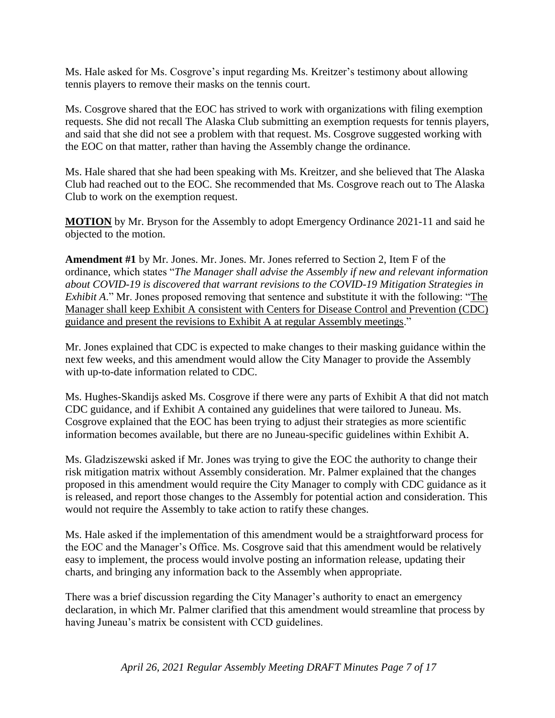Ms. Hale asked for Ms. Cosgrove's input regarding Ms. Kreitzer's testimony about allowing tennis players to remove their masks on the tennis court.

Ms. Cosgrove shared that the EOC has strived to work with organizations with filing exemption requests. She did not recall The Alaska Club submitting an exemption requests for tennis players, and said that she did not see a problem with that request. Ms. Cosgrove suggested working with the EOC on that matter, rather than having the Assembly change the ordinance.

Ms. Hale shared that she had been speaking with Ms. Kreitzer, and she believed that The Alaska Club had reached out to the EOC. She recommended that Ms. Cosgrove reach out to The Alaska Club to work on the exemption request.

**MOTION** by Mr. Bryson for the Assembly to adopt Emergency Ordinance 2021-11 and said he objected to the motion.

**Amendment #1** by Mr. Jones. Mr. Jones. Mr. Jones referred to Section 2, Item F of the ordinance, which states "*The Manager shall advise the Assembly if new and relevant information about COVID-19 is discovered that warrant revisions to the COVID-19 Mitigation Strategies in Exhibit A*." Mr. Jones proposed removing that sentence and substitute it with the following: "The Manager shall keep Exhibit A consistent with Centers for Disease Control and Prevention (CDC) guidance and present the revisions to Exhibit A at regular Assembly meetings."

Mr. Jones explained that CDC is expected to make changes to their masking guidance within the next few weeks, and this amendment would allow the City Manager to provide the Assembly with up-to-date information related to CDC.

Ms. Hughes-Skandijs asked Ms. Cosgrove if there were any parts of Exhibit A that did not match CDC guidance, and if Exhibit A contained any guidelines that were tailored to Juneau. Ms. Cosgrove explained that the EOC has been trying to adjust their strategies as more scientific information becomes available, but there are no Juneau-specific guidelines within Exhibit A.

Ms. Gladziszewski asked if Mr. Jones was trying to give the EOC the authority to change their risk mitigation matrix without Assembly consideration. Mr. Palmer explained that the changes proposed in this amendment would require the City Manager to comply with CDC guidance as it is released, and report those changes to the Assembly for potential action and consideration. This would not require the Assembly to take action to ratify these changes.

Ms. Hale asked if the implementation of this amendment would be a straightforward process for the EOC and the Manager's Office. Ms. Cosgrove said that this amendment would be relatively easy to implement, the process would involve posting an information release, updating their charts, and bringing any information back to the Assembly when appropriate.

There was a brief discussion regarding the City Manager's authority to enact an emergency declaration, in which Mr. Palmer clarified that this amendment would streamline that process by having Juneau's matrix be consistent with CCD guidelines.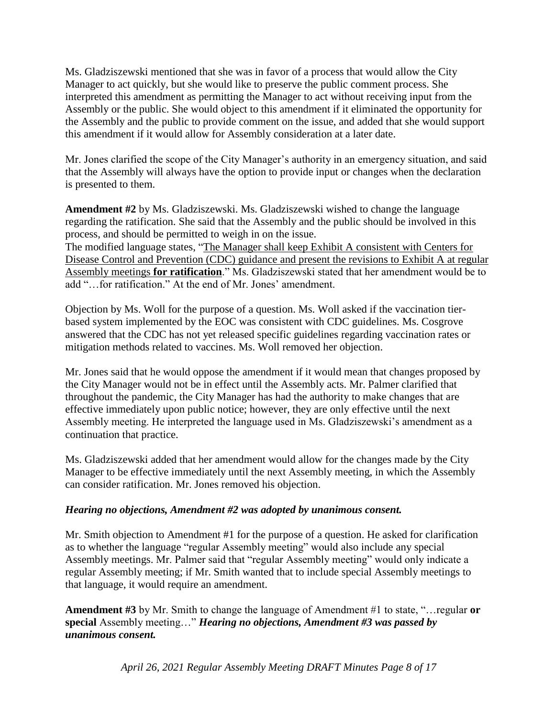Ms. Gladziszewski mentioned that she was in favor of a process that would allow the City Manager to act quickly, but she would like to preserve the public comment process. She interpreted this amendment as permitting the Manager to act without receiving input from the Assembly or the public. She would object to this amendment if it eliminated the opportunity for the Assembly and the public to provide comment on the issue, and added that she would support this amendment if it would allow for Assembly consideration at a later date.

Mr. Jones clarified the scope of the City Manager's authority in an emergency situation, and said that the Assembly will always have the option to provide input or changes when the declaration is presented to them.

**Amendment #2** by Ms. Gladziszewski. Ms. Gladziszewski wished to change the language regarding the ratification. She said that the Assembly and the public should be involved in this process, and should be permitted to weigh in on the issue. The modified language states, "The Manager shall keep Exhibit A consistent with Centers for Disease Control and Prevention (CDC) guidance and present the revisions to Exhibit A at regular Assembly meetings **for ratification**." Ms. Gladziszewski stated that her amendment would be to add "…for ratification." At the end of Mr. Jones' amendment.

Objection by Ms. Woll for the purpose of a question. Ms. Woll asked if the vaccination tierbased system implemented by the EOC was consistent with CDC guidelines. Ms. Cosgrove answered that the CDC has not yet released specific guidelines regarding vaccination rates or mitigation methods related to vaccines. Ms. Woll removed her objection.

Mr. Jones said that he would oppose the amendment if it would mean that changes proposed by the City Manager would not be in effect until the Assembly acts. Mr. Palmer clarified that throughout the pandemic, the City Manager has had the authority to make changes that are effective immediately upon public notice; however, they are only effective until the next Assembly meeting. He interpreted the language used in Ms. Gladziszewski's amendment as a continuation that practice.

Ms. Gladziszewski added that her amendment would allow for the changes made by the City Manager to be effective immediately until the next Assembly meeting, in which the Assembly can consider ratification. Mr. Jones removed his objection.

#### *Hearing no objections, Amendment #2 was adopted by unanimous consent.*

Mr. Smith objection to Amendment #1 for the purpose of a question. He asked for clarification as to whether the language "regular Assembly meeting" would also include any special Assembly meetings. Mr. Palmer said that "regular Assembly meeting" would only indicate a regular Assembly meeting; if Mr. Smith wanted that to include special Assembly meetings to that language, it would require an amendment.

**Amendment #3** by Mr. Smith to change the language of Amendment #1 to state, "…regular **or special** Assembly meeting…" *Hearing no objections, Amendment #3 was passed by unanimous consent.* 

*April 26, 2021 Regular Assembly Meeting DRAFT Minutes Page 8 of 17*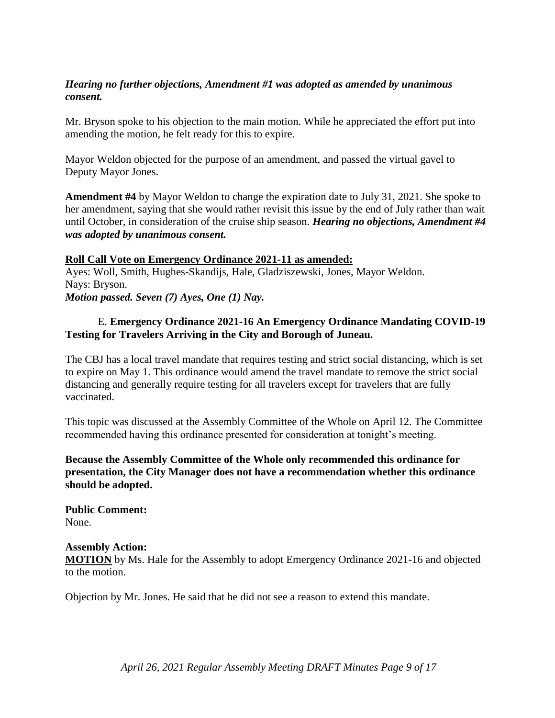#### *Hearing no further objections, Amendment #1 was adopted as amended by unanimous consent.*

Mr. Bryson spoke to his objection to the main motion. While he appreciated the effort put into amending the motion, he felt ready for this to expire.

Mayor Weldon objected for the purpose of an amendment, and passed the virtual gavel to Deputy Mayor Jones.

**Amendment #4** by Mayor Weldon to change the expiration date to July 31, 2021. She spoke to her amendment, saying that she would rather revisit this issue by the end of July rather than wait until October, in consideration of the cruise ship season. *Hearing no objections, Amendment #4 was adopted by unanimous consent.* 

#### **Roll Call Vote on Emergency Ordinance 2021-11 as amended:**

Ayes: Woll, Smith, Hughes-Skandijs, Hale, Gladziszewski, Jones, Mayor Weldon. Nays: Bryson. *Motion passed. Seven (7) Ayes, One (1) Nay.* 

#### E. **Emergency Ordinance 2021-16 An Emergency Ordinance Mandating COVID-19 Testing for Travelers Arriving in the City and Borough of Juneau.**

The CBJ has a local travel mandate that requires testing and strict social distancing, which is set to expire on May 1. This ordinance would amend the travel mandate to remove the strict social distancing and generally require testing for all travelers except for travelers that are fully vaccinated.

This topic was discussed at the Assembly Committee of the Whole on April 12. The Committee recommended having this ordinance presented for consideration at tonight's meeting.

**Because the Assembly Committee of the Whole only recommended this ordinance for presentation, the City Manager does not have a recommendation whether this ordinance should be adopted.**

**Public Comment:** None.

#### **Assembly Action:**

**MOTION** by Ms. Hale for the Assembly to adopt Emergency Ordinance 2021-16 and objected to the motion.

Objection by Mr. Jones. He said that he did not see a reason to extend this mandate.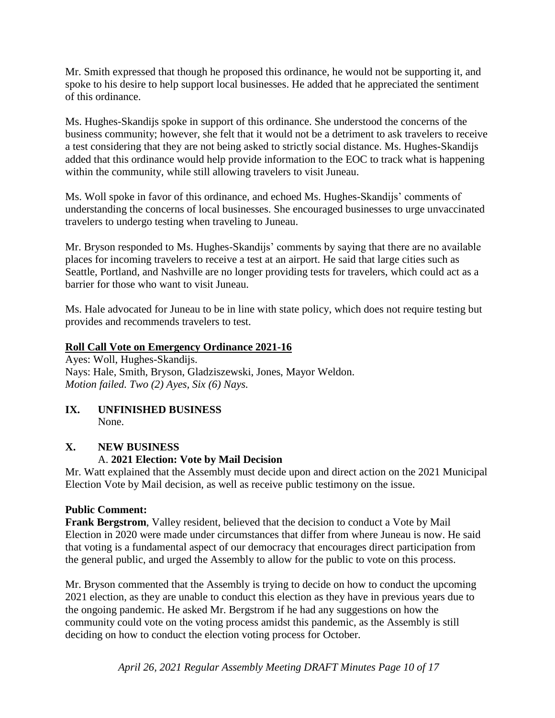Mr. Smith expressed that though he proposed this ordinance, he would not be supporting it, and spoke to his desire to help support local businesses. He added that he appreciated the sentiment of this ordinance.

Ms. Hughes-Skandijs spoke in support of this ordinance. She understood the concerns of the business community; however, she felt that it would not be a detriment to ask travelers to receive a test considering that they are not being asked to strictly social distance. Ms. Hughes-Skandijs added that this ordinance would help provide information to the EOC to track what is happening within the community, while still allowing travelers to visit Juneau.

Ms. Woll spoke in favor of this ordinance, and echoed Ms. Hughes-Skandijs' comments of understanding the concerns of local businesses. She encouraged businesses to urge unvaccinated travelers to undergo testing when traveling to Juneau.

Mr. Bryson responded to Ms. Hughes-Skandijs' comments by saying that there are no available places for incoming travelers to receive a test at an airport. He said that large cities such as Seattle, Portland, and Nashville are no longer providing tests for travelers, which could act as a barrier for those who want to visit Juneau.

Ms. Hale advocated for Juneau to be in line with state policy, which does not require testing but provides and recommends travelers to test.

#### **Roll Call Vote on Emergency Ordinance 2021-16**

Ayes: Woll, Hughes-Skandijs. Nays: Hale, Smith, Bryson, Gladziszewski, Jones, Mayor Weldon. *Motion failed. Two (2) Ayes, Six (6) Nays.* 

**IX. UNFINISHED BUSINESS** None.

# **X. NEW BUSINESS** A. **2021 Election: Vote by Mail Decision**

Mr. Watt explained that the Assembly must decide upon and direct action on the 2021 Municipal Election Vote by Mail decision, as well as receive public testimony on the issue.

#### **Public Comment:**

**Frank Bergstrom**, Valley resident, believed that the decision to conduct a Vote by Mail Election in 2020 were made under circumstances that differ from where Juneau is now. He said that voting is a fundamental aspect of our democracy that encourages direct participation from the general public, and urged the Assembly to allow for the public to vote on this process.

Mr. Bryson commented that the Assembly is trying to decide on how to conduct the upcoming 2021 election, as they are unable to conduct this election as they have in previous years due to the ongoing pandemic. He asked Mr. Bergstrom if he had any suggestions on how the community could vote on the voting process amidst this pandemic, as the Assembly is still deciding on how to conduct the election voting process for October.

*April 26, 2021 Regular Assembly Meeting DRAFT Minutes Page 10 of 17*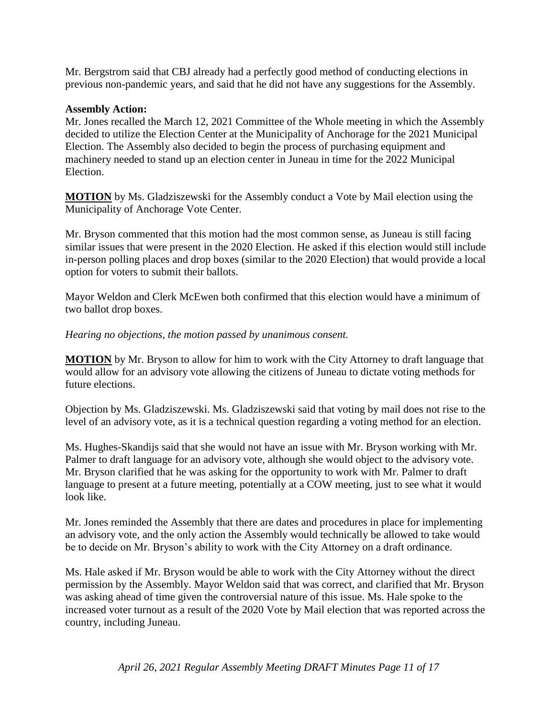Mr. Bergstrom said that CBJ already had a perfectly good method of conducting elections in previous non-pandemic years, and said that he did not have any suggestions for the Assembly.

#### **Assembly Action:**

Mr. Jones recalled the March 12, 2021 Committee of the Whole meeting in which the Assembly decided to utilize the Election Center at the Municipality of Anchorage for the 2021 Municipal Election. The Assembly also decided to begin the process of purchasing equipment and machinery needed to stand up an election center in Juneau in time for the 2022 Municipal Election.

**MOTION** by Ms. Gladziszewski for the Assembly conduct a Vote by Mail election using the Municipality of Anchorage Vote Center.

Mr. Bryson commented that this motion had the most common sense, as Juneau is still facing similar issues that were present in the 2020 Election. He asked if this election would still include in-person polling places and drop boxes (similar to the 2020 Election) that would provide a local option for voters to submit their ballots.

Mayor Weldon and Clerk McEwen both confirmed that this election would have a minimum of two ballot drop boxes.

*Hearing no objections, the motion passed by unanimous consent.*

**MOTION** by Mr. Bryson to allow for him to work with the City Attorney to draft language that would allow for an advisory vote allowing the citizens of Juneau to dictate voting methods for future elections.

Objection by Ms. Gladziszewski. Ms. Gladziszewski said that voting by mail does not rise to the level of an advisory vote, as it is a technical question regarding a voting method for an election.

Ms. Hughes-Skandijs said that she would not have an issue with Mr. Bryson working with Mr. Palmer to draft language for an advisory vote, although she would object to the advisory vote. Mr. Bryson clarified that he was asking for the opportunity to work with Mr. Palmer to draft language to present at a future meeting, potentially at a COW meeting, just to see what it would look like.

Mr. Jones reminded the Assembly that there are dates and procedures in place for implementing an advisory vote, and the only action the Assembly would technically be allowed to take would be to decide on Mr. Bryson's ability to work with the City Attorney on a draft ordinance.

Ms. Hale asked if Mr. Bryson would be able to work with the City Attorney without the direct permission by the Assembly. Mayor Weldon said that was correct, and clarified that Mr. Bryson was asking ahead of time given the controversial nature of this issue. Ms. Hale spoke to the increased voter turnout as a result of the 2020 Vote by Mail election that was reported across the country, including Juneau.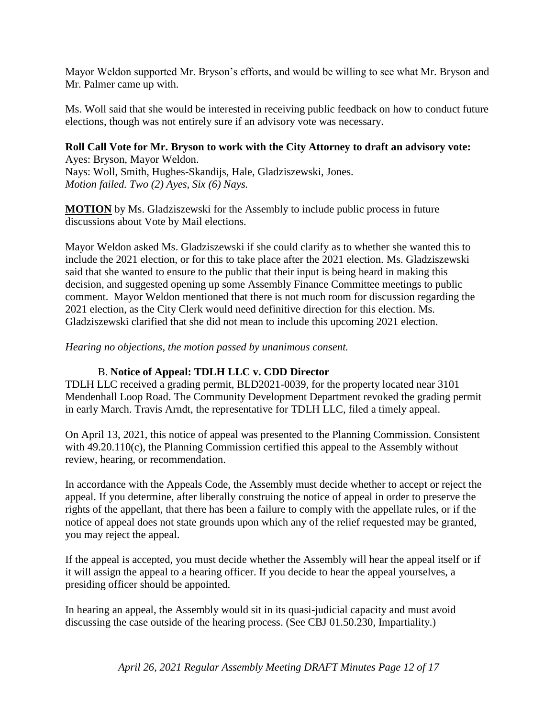Mayor Weldon supported Mr. Bryson's efforts, and would be willing to see what Mr. Bryson and Mr. Palmer came up with.

Ms. Woll said that she would be interested in receiving public feedback on how to conduct future elections, though was not entirely sure if an advisory vote was necessary.

#### **Roll Call Vote for Mr. Bryson to work with the City Attorney to draft an advisory vote:** Ayes: Bryson, Mayor Weldon.

Nays: Woll, Smith, Hughes-Skandijs, Hale, Gladziszewski, Jones. *Motion failed. Two (2) Ayes, Six (6) Nays.* 

**MOTION** by Ms. Gladziszewski for the Assembly to include public process in future discussions about Vote by Mail elections.

Mayor Weldon asked Ms. Gladziszewski if she could clarify as to whether she wanted this to include the 2021 election, or for this to take place after the 2021 election. Ms. Gladziszewski said that she wanted to ensure to the public that their input is being heard in making this decision, and suggested opening up some Assembly Finance Committee meetings to public comment. Mayor Weldon mentioned that there is not much room for discussion regarding the 2021 election, as the City Clerk would need definitive direction for this election. Ms. Gladziszewski clarified that she did not mean to include this upcoming 2021 election.

#### *Hearing no objections, the motion passed by unanimous consent.*

#### B. **Notice of Appeal: TDLH LLC v. CDD Director**

TDLH LLC received a grading permit, BLD2021-0039, for the property located near 3101 Mendenhall Loop Road. The Community Development Department revoked the grading permit in early March. Travis Arndt, the representative for TDLH LLC, filed a timely appeal.

On April 13, 2021, this notice of appeal was presented to the Planning Commission. Consistent with 49.20.110(c), the Planning Commission certified this appeal to the Assembly without review, hearing, or recommendation.

In accordance with the Appeals Code, the Assembly must decide whether to accept or reject the appeal. If you determine, after liberally construing the notice of appeal in order to preserve the rights of the appellant, that there has been a failure to comply with the appellate rules, or if the notice of appeal does not state grounds upon which any of the relief requested may be granted, you may reject the appeal.

If the appeal is accepted, you must decide whether the Assembly will hear the appeal itself or if it will assign the appeal to a hearing officer. If you decide to hear the appeal yourselves, a presiding officer should be appointed.

In hearing an appeal, the Assembly would sit in its quasi-judicial capacity and must avoid discussing the case outside of the hearing process. (See CBJ 01.50.230, Impartiality.)

*April 26, 2021 Regular Assembly Meeting DRAFT Minutes Page 12 of 17*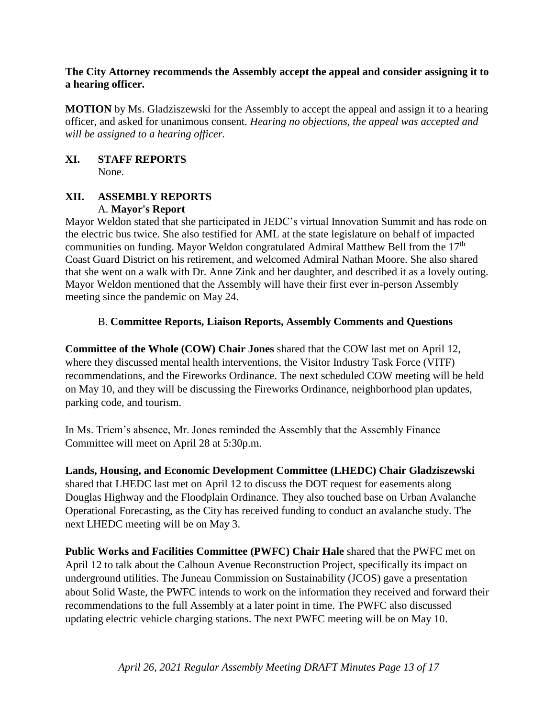#### **The City Attorney recommends the Assembly accept the appeal and consider assigning it to a hearing officer.**

**MOTION** by Ms. Gladziszewski for the Assembly to accept the appeal and assign it to a hearing officer, and asked for unanimous consent. *Hearing no objections, the appeal was accepted and will be assigned to a hearing officer.* 

#### **XI. STAFF REPORTS** None.

#### **XII. ASSEMBLY REPORTS** A. **Mayor's Report**

Mayor Weldon stated that she participated in JEDC's virtual Innovation Summit and has rode on the electric bus twice. She also testified for AML at the state legislature on behalf of impacted communities on funding. Mayor Weldon congratulated Admiral Matthew Bell from the 17<sup>th</sup> Coast Guard District on his retirement, and welcomed Admiral Nathan Moore. She also shared that she went on a walk with Dr. Anne Zink and her daughter, and described it as a lovely outing. Mayor Weldon mentioned that the Assembly will have their first ever in-person Assembly meeting since the pandemic on May 24.

#### B. **Committee Reports, Liaison Reports, Assembly Comments and Questions**

**Committee of the Whole (COW) Chair Jones** shared that the COW last met on April 12, where they discussed mental health interventions, the Visitor Industry Task Force (VITF) recommendations, and the Fireworks Ordinance. The next scheduled COW meeting will be held on May 10, and they will be discussing the Fireworks Ordinance, neighborhood plan updates, parking code, and tourism.

In Ms. Triem's absence, Mr. Jones reminded the Assembly that the Assembly Finance Committee will meet on April 28 at 5:30p.m.

**Lands, Housing, and Economic Development Committee (LHEDC) Chair Gladziszewski**  shared that LHEDC last met on April 12 to discuss the DOT request for easements along Douglas Highway and the Floodplain Ordinance. They also touched base on Urban Avalanche Operational Forecasting, as the City has received funding to conduct an avalanche study. The next LHEDC meeting will be on May 3.

**Public Works and Facilities Committee (PWFC) Chair Hale** shared that the PWFC met on April 12 to talk about the Calhoun Avenue Reconstruction Project, specifically its impact on underground utilities. The Juneau Commission on Sustainability (JCOS) gave a presentation about Solid Waste, the PWFC intends to work on the information they received and forward their recommendations to the full Assembly at a later point in time. The PWFC also discussed updating electric vehicle charging stations. The next PWFC meeting will be on May 10.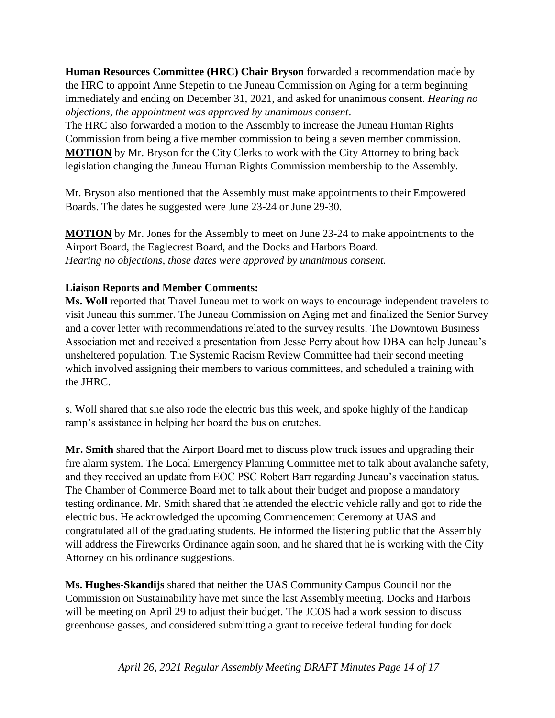**Human Resources Committee (HRC) Chair Bryson** forwarded a recommendation made by the HRC to appoint Anne Stepetin to the Juneau Commission on Aging for a term beginning immediately and ending on December 31, 2021, and asked for unanimous consent. *Hearing no objections, the appointment was approved by unanimous consent*.

The HRC also forwarded a motion to the Assembly to increase the Juneau Human Rights Commission from being a five member commission to being a seven member commission. **MOTION** by Mr. Bryson for the City Clerks to work with the City Attorney to bring back legislation changing the Juneau Human Rights Commission membership to the Assembly.

Mr. Bryson also mentioned that the Assembly must make appointments to their Empowered Boards. The dates he suggested were June 23-24 or June 29-30.

**MOTION** by Mr. Jones for the Assembly to meet on June 23-24 to make appointments to the Airport Board, the Eaglecrest Board, and the Docks and Harbors Board. *Hearing no objections, those dates were approved by unanimous consent.* 

### **Liaison Reports and Member Comments:**

**Ms. Woll** reported that Travel Juneau met to work on ways to encourage independent travelers to visit Juneau this summer. The Juneau Commission on Aging met and finalized the Senior Survey and a cover letter with recommendations related to the survey results. The Downtown Business Association met and received a presentation from Jesse Perry about how DBA can help Juneau's unsheltered population. The Systemic Racism Review Committee had their second meeting which involved assigning their members to various committees, and scheduled a training with the JHRC.

s. Woll shared that she also rode the electric bus this week, and spoke highly of the handicap ramp's assistance in helping her board the bus on crutches.

**Mr. Smith** shared that the Airport Board met to discuss plow truck issues and upgrading their fire alarm system. The Local Emergency Planning Committee met to talk about avalanche safety, and they received an update from EOC PSC Robert Barr regarding Juneau's vaccination status. The Chamber of Commerce Board met to talk about their budget and propose a mandatory testing ordinance. Mr. Smith shared that he attended the electric vehicle rally and got to ride the electric bus. He acknowledged the upcoming Commencement Ceremony at UAS and congratulated all of the graduating students. He informed the listening public that the Assembly will address the Fireworks Ordinance again soon, and he shared that he is working with the City Attorney on his ordinance suggestions.

**Ms. Hughes-Skandijs** shared that neither the UAS Community Campus Council nor the Commission on Sustainability have met since the last Assembly meeting. Docks and Harbors will be meeting on April 29 to adjust their budget. The JCOS had a work session to discuss greenhouse gasses, and considered submitting a grant to receive federal funding for dock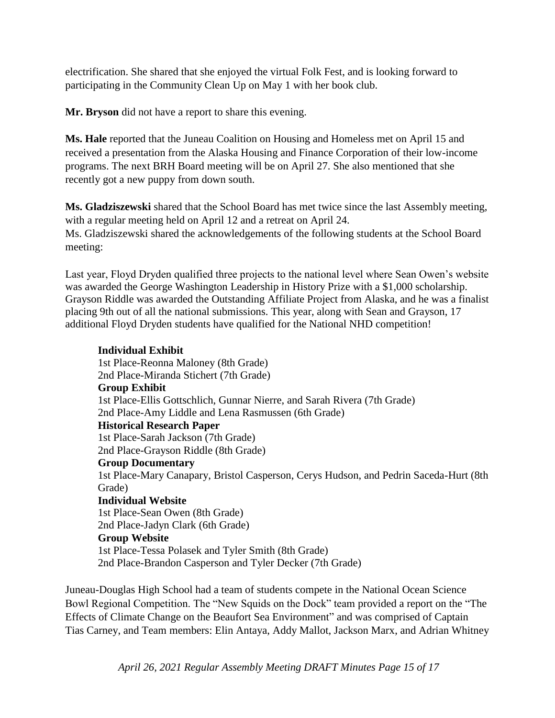electrification. She shared that she enjoyed the virtual Folk Fest, and is looking forward to participating in the Community Clean Up on May 1 with her book club.

**Mr. Bryson** did not have a report to share this evening.

**Ms. Hale** reported that the Juneau Coalition on Housing and Homeless met on April 15 and received a presentation from the Alaska Housing and Finance Corporation of their low-income programs. The next BRH Board meeting will be on April 27. She also mentioned that she recently got a new puppy from down south.

**Ms. Gladziszewski** shared that the School Board has met twice since the last Assembly meeting, with a regular meeting held on April 12 and a retreat on April 24. Ms. Gladziszewski shared the acknowledgements of the following students at the School Board meeting:

Last year, Floyd Dryden qualified three projects to the national level where Sean Owen's website was awarded the George Washington Leadership in History Prize with a \$1,000 scholarship. Grayson Riddle was awarded the Outstanding Affiliate Project from Alaska, and he was a finalist placing 9th out of all the national submissions. This year, along with Sean and Grayson, 17 additional Floyd Dryden students have qualified for the National NHD competition!

### **Individual Exhibit**

1st Place-Reonna Maloney (8th Grade) 2nd Place-Miranda Stichert (7th Grade) **Group Exhibit** 1st Place-Ellis Gottschlich, Gunnar Nierre, and Sarah Rivera (7th Grade) 2nd Place-Amy Liddle and Lena Rasmussen (6th Grade) **Historical Research Paper** 1st Place-Sarah Jackson (7th Grade) 2nd Place-Grayson Riddle (8th Grade) **Group Documentary** 1st Place-Mary Canapary, Bristol Casperson, Cerys Hudson, and Pedrin Saceda-Hurt (8th Grade) **Individual Website** 1st Place-Sean Owen (8th Grade) 2nd Place-Jadyn Clark (6th Grade) **Group Website** 1st Place-Tessa Polasek and Tyler Smith (8th Grade) 2nd Place-Brandon Casperson and Tyler Decker (7th Grade)

Juneau-Douglas High School had a team of students compete in the National Ocean Science Bowl Regional Competition. The "New Squids on the Dock" team provided a report on the "The Effects of Climate Change on the Beaufort Sea Environment" and was comprised of Captain Tias Carney, and Team members: Elin Antaya, Addy Mallot, Jackson Marx, and Adrian Whitney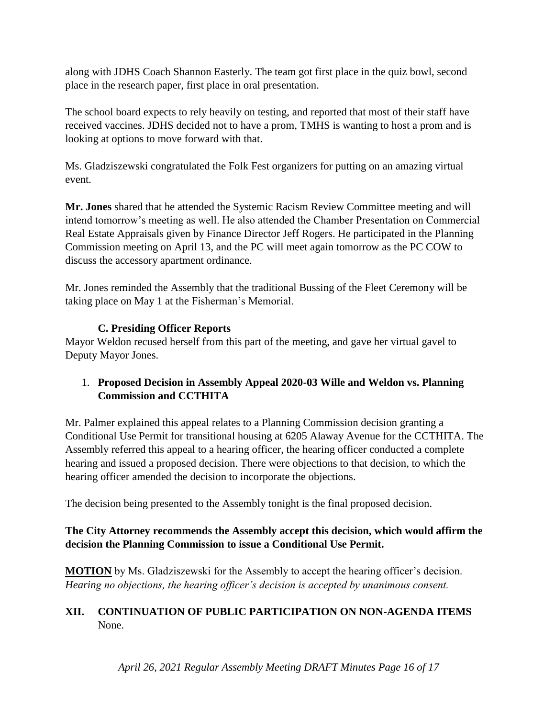along with JDHS Coach Shannon Easterly. The team got first place in the quiz bowl, second place in the research paper, first place in oral presentation.

The school board expects to rely heavily on testing, and reported that most of their staff have received vaccines. JDHS decided not to have a prom, TMHS is wanting to host a prom and is looking at options to move forward with that.

Ms. Gladziszewski congratulated the Folk Fest organizers for putting on an amazing virtual event.

**Mr. Jones** shared that he attended the Systemic Racism Review Committee meeting and will intend tomorrow's meeting as well. He also attended the Chamber Presentation on Commercial Real Estate Appraisals given by Finance Director Jeff Rogers. He participated in the Planning Commission meeting on April 13, and the PC will meet again tomorrow as the PC COW to discuss the accessory apartment ordinance.

Mr. Jones reminded the Assembly that the traditional Bussing of the Fleet Ceremony will be taking place on May 1 at the Fisherman's Memorial.

## **C. Presiding Officer Reports**

Mayor Weldon recused herself from this part of the meeting, and gave her virtual gavel to Deputy Mayor Jones.

# 1. **Proposed Decision in Assembly Appeal 2020-03 Wille and Weldon vs. Planning Commission and CCTHITA**

Mr. Palmer explained this appeal relates to a Planning Commission decision granting a Conditional Use Permit for transitional housing at 6205 Alaway Avenue for the CCTHITA. The Assembly referred this appeal to a hearing officer, the hearing officer conducted a complete hearing and issued a proposed decision. There were objections to that decision, to which the hearing officer amended the decision to incorporate the objections.

The decision being presented to the Assembly tonight is the final proposed decision.

## **The City Attorney recommends the Assembly accept this decision, which would affirm the decision the Planning Commission to issue a Conditional Use Permit.**

**MOTION** by Ms. Gladziszewski for the Assembly to accept the hearing officer's decision. *Hearing no objections, the hearing officer's decision is accepted by unanimous consent.* 

# **XII. CONTINUATION OF PUBLIC PARTICIPATION ON NON-AGENDA ITEMS** None.

*April 26, 2021 Regular Assembly Meeting DRAFT Minutes Page 16 of 17*